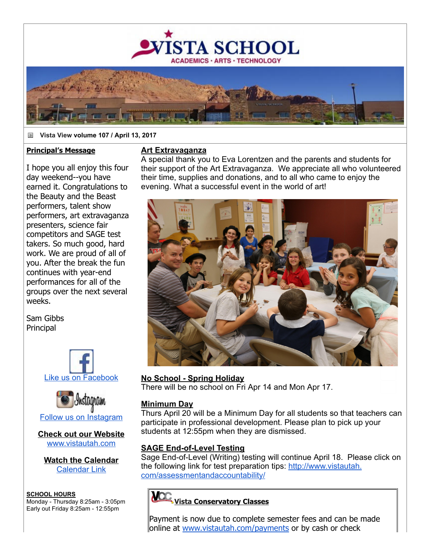

#### iä. **Vista View volume 107 / April 13, 2017**

#### **Principal's Message**

I hope you all enjoy this four day weekend--you have earned it. Congratulations to the Beauty and the Beast performers, talent show performers, art extravaganza presenters, science fair competitors and SAGE test takers. So much good, hard work. We are proud of all of you. After the break the fun continues with year-end performances for all of the groups over the next several weeks.

Sam Gibbs Principal





**Check out our Website** [www.vistautah.com](http://track.spe.schoolmessenger.com/f/a/bb6tIZzmdeZt9F2Ucqf9yA~~/AAAAAQA~/RgRa0Ur-P0EIAGxzRlsn-k5XB3NjaG9vbG1YBAAAAABCCgABfhfwWDHWTaxSFG1yb3dhbkB2aXN0YXV0YWguY29tCVEEAAAAAEQYaHR0cDovL3d3dy52aXN0YXV0YWguY29tR6d7ImVudiI6InByb2QiLCJlbWFpbFNvdXJjZSI6IkNVU1RPTUVSX0pPQiIsInVzZXJpZCI6IjIiLCJzZW50VGltZU1zIjoiMTQ5MjEyOTY0NDU5OCIsImpvYmlkIjoiNjkzIiwic2VxdWVuY2UiOiIwIiwic2hhcmRpZCI6IjEiLCJjdXN0b21lcmlkIjoiODc0NiIsInBlcnNvbmlkIjoiMzcwMDQifQ~~)

**Watch the Calendar** [Calendar Link](http://track.spe.schoolmessenger.com/f/a/16Pe1P_PfIscd2oQN9qmjQ~~/AAAAAQA~/RgRa0Ur-P0EIAGxzRlsn-k5XB3NjaG9vbG1YBAAAAABCCgABfhfwWDHWTaxSFG1yb3dhbkB2aXN0YXV0YWguY29tCVEEAAAAAEQiaHR0cDovL3d3dy52aXN0YXV0YWguY29tL2NhbGVuZGFyL0eneyJzZXF1ZW5jZSI6IjAiLCJqb2JpZCI6IjY5MyIsImVtYWlsU291cmNlIjoiQ1VTVE9NRVJfSk9CIiwic2VudFRpbWVNcyI6IjE0OTIxMjk2NDQ1OTgiLCJwZXJzb25pZCI6IjM3MDA0IiwidXNlcmlkIjoiMiIsImN1c3RvbWVyaWQiOiI4NzQ2IiwiZW52IjoicHJvZCIsInNoYXJkaWQiOiIxIn0~)

**SCHOOL HOURS** Monday Thursday 8:25am 3:05pm Early out Friday 8:25am 12:55pm

#### **Art Extravaganza**

A special thank you to Eva Lorentzen and the parents and students for their support of the Art Extravaganza. We appreciate all who volunteered their time, supplies and donations, and to all who came to enjoy the evening. What a successful event in the world of art!



### **No School - Spring Holiday**

There will be no school on Fri Apr 14 and Mon Apr 17.

### **Minimum Day**

Thurs April 20 will be a Minimum Day for all students so that teachers can participate in professional development. Please plan to pick up your students at 12:55pm when they are dismissed.

### **SAGE End-of-Level Testing**

Sage End-of-Level (Writing) testing will continue April 18. Please click on [the following link for test preparation tips: http://www.vistautah.](http://track.spe.schoolmessenger.com/f/a/pWOPe4JZXSXxLcAC4ZLG_g~~/AAAAAQA~/RgRa0Ur-P0EIAGxzRlsn-k5XB3NjaG9vbG1YBAAAAABCCgABfhfwWDHWTaxSFG1yb3dhbkB2aXN0YXV0YWguY29tCVEEAAAAAITbAWh0dHA6Ly90cmFjay5zcGUuc2Nob29sbWVzc2VuZ2VyLmNvbS9mL2Evd2xQLWE3TzlBaDBzcTN1M0NWOHJYZ35-L0FBQUFBUUF-L1JnUmF5VFUxUDBFSUFPeHpSbm9teEUxWEIzTmphRzl2YkcxWUJBQUFBQUJDQ2dBRHRRSG9XTGhZOU10U0YzUmljbUZrYzJoaGQwQjJhWE4wWVhWMFlXZ3VZMjl0Q1ZFRUFBQUFBRVExYUhSMGNEb3ZMM2QzZHk1MmFYTjBZWFYwWVdndVkyOXRMMkZ6YzJWemMyMWxiblJoYm1SaFkyTnZkVzUwWVdKcGJHbDBlUzlIcDNzaWMyaGhjbVJwWkNJNklqRWlMQ0psYm5ZaU9pSndjbTlrSWl3aWMyVnVkRlJwYldWTmN5STZJakUwT1RFMU9UazNOelk0TURraUxDSndaWEp6YjI1cFpDSTZJak0zTURBNElpd2laVzFoYVd4VGIzVnlZMlVpT2lKRFZWTlVUMDFGVWw5S1QwSWlMQ0p6WlhGMVpXNWpaU0k2SWpBaUxDSnFiMkpwWkNJNklqWTRNeUlzSW5WelpYSnBaQ0k2SWpJaUxDSmpkWE4wYjIxbGNtbGtJam9pT0RjME5pSjlHp3siZW1haWxTb3VyY2UiOiJDVVNUT01FUl9KT0IiLCJzZW50VGltZU1zIjoiMTQ5MjEyOTY0NDU5OCIsImVudiI6InByb2QiLCJjdXN0b21lcmlkIjoiODc0NiIsImpvYmlkIjoiNjkzIiwic2VxdWVuY2UiOiIwIiwidXNlcmlkIjoiMiIsInNoYXJkaWQiOiIxIiwicGVyc29uaWQiOiIzNzAwNCJ9) com/assessmentandaccountability/

# **Vista Conservatory Classes**

Payment is now due to complete semester fees and can be made online at [www.vistautah.com/payments](http://track.spe.schoolmessenger.com/f/a/lqzkvVjI51SI9-sGxpiVEw~~/AAAAAQA~/RgRa0Ur-P0EIAGxzRlsn-k5XB3NjaG9vbG1YBAAAAABCCgABfhfwWDHWTaxSFG1yb3dhbkB2aXN0YXV0YWguY29tCVEEAAAAAEQhaHR0cDovL3d3dy52aXN0YXV0YWguY29tL3BheW1lbnRzR6d7ImVtYWlsU291cmNlIjoiQ1VTVE9NRVJfSk9CIiwic2VudFRpbWVNcyI6IjE0OTIxMjk2NDQ1OTgiLCJlbnYiOiJwcm9kIiwiam9iaWQiOiI2OTMiLCJwZXJzb25pZCI6IjM3MDA0IiwiY3VzdG9tZXJpZCI6Ijg3NDYiLCJ1c2VyaWQiOiIyIiwic2hhcmRpZCI6IjEiLCJzZXF1ZW5jZSI6IjAifQ~~) or by cash or check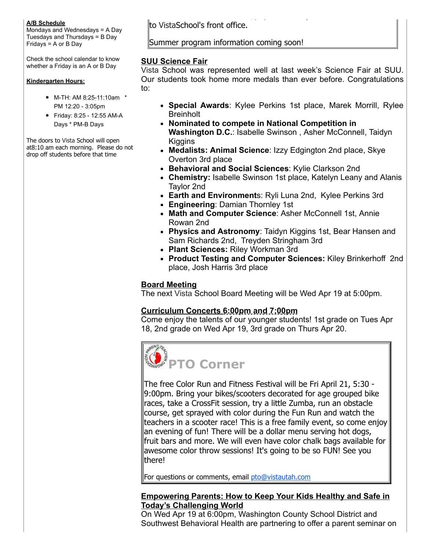#### **A/B Schedule**

Mondays and Wednesdays = A Day Tuesdays and Thursdays = B Day Fridays = A or B Day

Check the school calendar to know whether a Friday is an A or B Day

#### **Kindergarten Hours:**

- M-TH: AM 8:25-11:10am \* PM 12:20 3:05pm
- Friday: 8:25 12:55 AM-A Days \* PM-B Days

The doors to Vista School will open at8:10 am each morning. Please do not drop off students before that time

to VistaSchool's front office.

#### Summer program information coming soon!

#### **SUU Science Fair**

Vista School was represented well at last week's Science Fair at SUU. Our students took home more medals than ever before. Congratulations to:

online at [www.vistautah.com/payments](http://track.spe.schoolmessenger.com/f/a/lqzkvVjI51SI9-sGxpiVEw~~/AAAAAQA~/RgRa0Ur-P0EIAGxzRlsn-k5XB3NjaG9vbG1YBAAAAABCCgABfhfwWDHWTaxSFG1yb3dhbkB2aXN0YXV0YWguY29tCVEEAAAAAEQhaHR0cDovL3d3dy52aXN0YXV0YWguY29tL3BheW1lbnRzR6d7ImVtYWlsU291cmNlIjoiQ1VTVE9NRVJfSk9CIiwic2VudFRpbWVNcyI6IjE0OTIxMjk2NDQ1OTgiLCJlbnYiOiJwcm9kIiwiam9iaWQiOiI2OTMiLCJwZXJzb25pZCI6IjM3MDA0IiwiY3VzdG9tZXJpZCI6Ijg3NDYiLCJ1c2VyaWQiOiIyIiwic2hhcmRpZCI6IjEiLCJzZXF1ZW5jZSI6IjAifQ~~) or by cash or check

- **Special Awards**: Kylee Perkins 1st place, Marek Morrill, Rylee **Breinholt**
- **Nominated to compete in National Competition in Washington D.C.**: Isabelle Swinson , Asher McConnell, Taidyn **Kiggins**
- **Medalists: Animal Science**: Izzy Edgington 2nd place, Skye Overton 3rd place
- **Behavioral and Social Sciences**: Kylie Clarkson 2nd
- **Chemistry:** Isabelle Swinson 1st place, Katelyn Leany and Alanis Taylor 2nd
- **Earth and Environment**s: Ryli Luna 2nd, Kylee Perkins 3rd
- **Engineering**: Damian Thornley 1st
- **Math and Computer Science**: Asher McConnell 1st, Annie Rowan 2nd
- **Physics and Astronomy**: Taidyn Kiggins 1st, Bear Hansen and Sam Richards 2nd, Treyden Stringham 3rd
- **Plant Sciences:** Riley Workman 3rd
- **Product Testing and Computer Sciences:** Kiley Brinkerhoff 2nd place, Josh Harris 3rd place

### **Board Meeting**

The next Vista School Board Meeting will be Wed Apr 19 at 5:00pm.

# **Curriculum Concerts 6:00pm and 7:00pm**

Come enjoy the talents of our younger students! 1st grade on Tues Apr 18, 2nd grade on Wed Apr 19, 3rd grade on Thurs Apr 20.



The free Color Run and Fitness Festival will be Fri April 21, 5:30 9:00pm. Bring your bikes/scooters decorated for age grouped bike races, take a CrossFit session, try a little Zumba, run an obstacle course, get sprayed with color during the Fun Run and watch the teachers in a scooter race! This is a free family event, so come enjoy an evening of fun! There will be a dollar menu serving hot dogs, fruit bars and more. We will even have color chalk bags available for awesome color throw sessions! It's going to be so FUN! See you there!

For questions or comments, email [pto@vistautah.com](mailto:pto@vistautah.com)

# **Empowering Parents: How to Keep Your Kids Healthy and Safe in Today's Challenging World**

On Wed Apr 19 at 6:00pm, Washington County School District and Southwest Behavioral Health are partnering to offer a parent seminar on